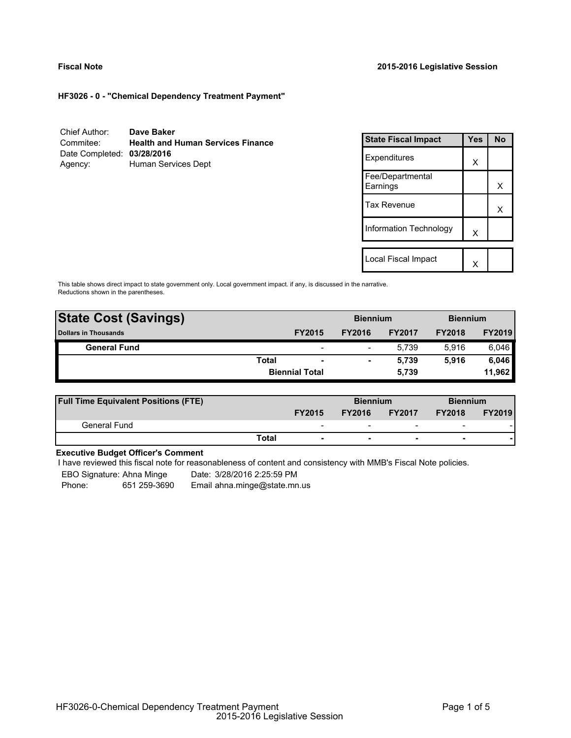### **Fiscal Note 2015-2016 Legislative Session**

**HF3026 - 0 - "Chemical Dependency Treatment Payment"**

| Chief Author:              | Dave Baker                               |
|----------------------------|------------------------------------------|
| Commitee:                  | <b>Health and Human Services Finance</b> |
| Date Completed: 03/28/2016 |                                          |
| Agency:                    | Human Services Dept                      |

| <b>State Fiscal Impact</b>   | Yes | <b>No</b> |
|------------------------------|-----|-----------|
| Expenditures                 | X   |           |
| Fee/Departmental<br>Earnings |     | x         |
| Tax Revenue                  |     | x         |
| Information Technology       | X   |           |
| Local Fiscal Impact          |     |           |
|                              |     |           |

This table shows direct impact to state government only. Local government impact. if any, is discussed in the narrative. Reductions shown in the parentheses.

| <b>State Cost (Savings)</b> |              | <b>Biennium</b>          |               |               | <b>Biennium</b> |               |
|-----------------------------|--------------|--------------------------|---------------|---------------|-----------------|---------------|
| <b>Dollars in Thousands</b> |              | <b>FY2015</b>            | <b>FY2016</b> | <b>FY2017</b> | <b>FY2018</b>   | <b>FY2019</b> |
| <b>General Fund</b>         |              | $\overline{\phantom{0}}$ | -             | 5.739         | 5.916           | 6,046         |
|                             | <b>Total</b> | $\overline{\phantom{a}}$ |               | 5.739         | 5.916           | 6,046         |
|                             |              | <b>Biennial Total</b>    |               | 5,739         |                 | 11,962        |
|                             |              |                          |               |               |                 |               |

| <b>Full Time Equivalent Positions (FTE)</b> |                          |               | <b>Biennium</b>          |                          | <b>Biennium</b> |  |
|---------------------------------------------|--------------------------|---------------|--------------------------|--------------------------|-----------------|--|
|                                             | <b>FY2015</b>            | <b>FY2016</b> | <b>FY2017</b>            | <b>FY2018</b>            | <b>FY2019</b>   |  |
| General Fund                                | $\overline{\phantom{0}}$ | -             | $\overline{\phantom{0}}$ | $\overline{\phantom{0}}$ |                 |  |
|                                             | Total                    |               |                          | -                        |                 |  |

# **Executive Budget Officer's Comment**

I have reviewed this fiscal note for reasonableness of content and consistency with MMB's Fiscal Note policies.

EBO Signature: Ahna Minge Date: 3/28/2016 2:25:59 PM

Phone: 651 259-3690 Email ahna.minge@state.mn.us

HF3026-0-Chemical Dependency Treatment Payment 2015-2016 Legislative Session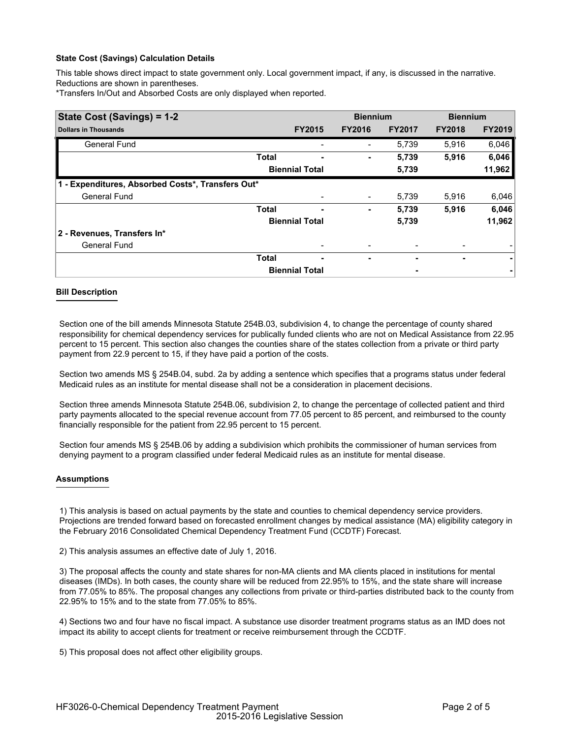### **State Cost (Savings) Calculation Details**

This table shows direct impact to state government only. Local government impact, if any, is discussed in the narrative. Reductions are shown in parentheses.

\*Transfers In/Out and Absorbed Costs are only displayed when reported.

| State Cost (Savings) = 1-2                        |              |                       | <b>Biennium</b> |               | <b>Biennium</b> |               |
|---------------------------------------------------|--------------|-----------------------|-----------------|---------------|-----------------|---------------|
| <b>Dollars in Thousands</b>                       |              | <b>FY2015</b>         | <b>FY2016</b>   | <b>FY2017</b> | <b>FY2018</b>   | <b>FY2019</b> |
| <b>General Fund</b>                               |              |                       |                 | 5,739         | 5.916           | 6,046         |
|                                                   | <b>Total</b> |                       | ۰               | 5,739         | 5,916           | 6,046         |
|                                                   |              | <b>Biennial Total</b> |                 | 5,739         |                 | 11,962        |
| 1 - Expenditures, Absorbed Costs*, Transfers Out* |              |                       |                 |               |                 |               |
| <b>General Fund</b>                               |              |                       |                 | 5,739         | 5,916           | 6,046         |
|                                                   | <b>Total</b> | ۰                     | ٠               | 5,739         | 5,916           | 6,046         |
|                                                   |              | <b>Biennial Total</b> |                 | 5,739         |                 | 11,962        |
| 2 - Revenues, Transfers In*                       |              |                       |                 |               |                 |               |
| <b>General Fund</b>                               |              |                       |                 |               |                 |               |
|                                                   | <b>Total</b> | ۰                     | ٠               |               | ۰               | ۰             |
|                                                   |              | <b>Biennial Total</b> |                 |               |                 |               |

### **Bill Description**

Section one of the bill amends Minnesota Statute 254B.03, subdivision 4, to change the percentage of county shared responsibility for chemical dependency services for publically funded clients who are not on Medical Assistance from 22.95 percent to 15 percent. This section also changes the counties share of the states collection from a private or third party payment from 22.9 percent to 15, if they have paid a portion of the costs.

Section two amends MS § 254B.04, subd. 2a by adding a sentence which specifies that a programs status under federal Medicaid rules as an institute for mental disease shall not be a consideration in placement decisions.

Section three amends Minnesota Statute 254B.06, subdivision 2, to change the percentage of collected patient and third party payments allocated to the special revenue account from 77.05 percent to 85 percent, and reimbursed to the county financially responsible for the patient from 22.95 percent to 15 percent.

Section four amends MS § 254B.06 by adding a subdivision which prohibits the commissioner of human services from denying payment to a program classified under federal Medicaid rules as an institute for mental disease.

### **Assumptions**

1) This analysis is based on actual payments by the state and counties to chemical dependency service providers. Projections are trended forward based on forecasted enrollment changes by medical assistance (MA) eligibility category in the February 2016 Consolidated Chemical Dependency Treatment Fund (CCDTF) Forecast.

2) This analysis assumes an effective date of July 1, 2016.

3) The proposal affects the county and state shares for non-MA clients and MA clients placed in institutions for mental diseases (IMDs). In both cases, the county share will be reduced from 22.95% to 15%, and the state share will increase from 77.05% to 85%. The proposal changes any collections from private or third-parties distributed back to the county from 22.95% to 15% and to the state from 77.05% to 85%.

4) Sections two and four have no fiscal impact. A substance use disorder treatment programs status as an IMD does not impact its ability to accept clients for treatment or receive reimbursement through the CCDTF.

5) This proposal does not affect other eligibility groups.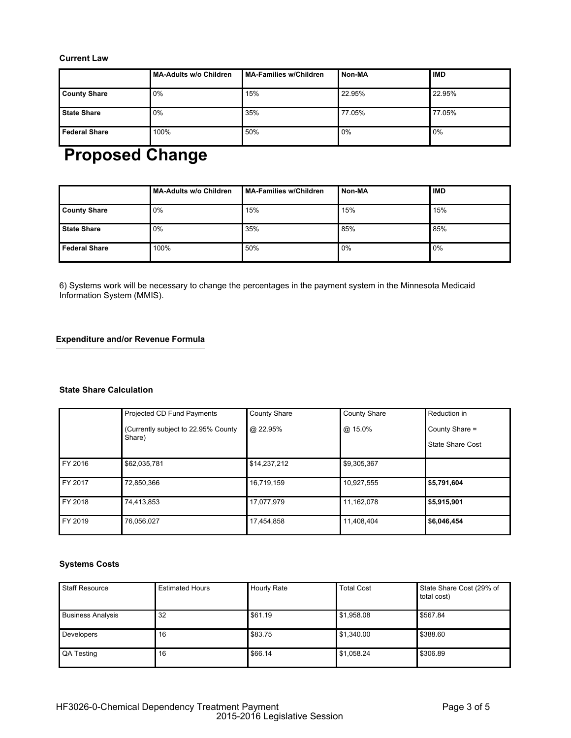# **Current Law**

|                      | <b>MA-Adults w/o Children</b> | MA-Families w/Children | Non-MA | <b>IMD</b> |
|----------------------|-------------------------------|------------------------|--------|------------|
| <b>County Share</b>  | 0%                            | 15%                    | 22.95% | 22.95%     |
| <b>State Share</b>   | 0%                            | 35%                    | 77.05% | 77.05%     |
| <b>Federal Share</b> | 100%                          | 50%                    | 0%     | 0%         |

# **Proposed Change**

|                      | <b>MA-Adults w/o Children</b> | MA-Families w/Children | Non-MA | <b>IMD</b> |
|----------------------|-------------------------------|------------------------|--------|------------|
| <b>County Share</b>  | 0%                            | 15%                    | 15%    | 15%        |
| <b>State Share</b>   | 0%                            | 35%                    | 85%    | 85%        |
| <b>Federal Share</b> | 100%                          | 50%                    | $0\%$  | 0%         |

6) Systems work will be necessary to change the percentages in the payment system in the Minnesota Medicaid Information System (MMIS).

# **Expenditure and/or Revenue Formula**

# **State Share Calculation**

|         | Projected CD Fund Payments           | <b>County Share</b> | <b>County Share</b> | Reduction in            |
|---------|--------------------------------------|---------------------|---------------------|-------------------------|
|         | (Currently subject to 22.95% County) | @ 22.95%            | @ 15.0%             | County Share =          |
|         | Share)                               |                     |                     | <b>State Share Cost</b> |
| FY 2016 | \$62,035,781                         | \$14,237,212        | \$9,305,367         |                         |
| FY 2017 | 72.850.366                           | 16,719,159          | 10,927,555          | \$5,791,604             |
| FY 2018 | 74,413,853                           | 17,077,979          | 11,162,078          | \$5,915,901             |
| FY 2019 | 76.056.027                           | 17,454,858          | 11,408,404          | \$6,046,454             |

# **Systems Costs**

| <b>Staff Resource</b>    | <b>Estimated Hours</b> | <b>Hourly Rate</b> | <b>Total Cost</b> | State Share Cost (29% of<br>total cost) |
|--------------------------|------------------------|--------------------|-------------------|-----------------------------------------|
| <b>Business Analysis</b> | 32                     | \$61.19            | \$1,958.08        | \$567.84                                |
| Developers               | 16                     | \$83.75            | \$1,340.00        | \$388.60                                |
| QA Testing               | 16                     | \$66.14            | \$1,058.24        | \$306.89                                |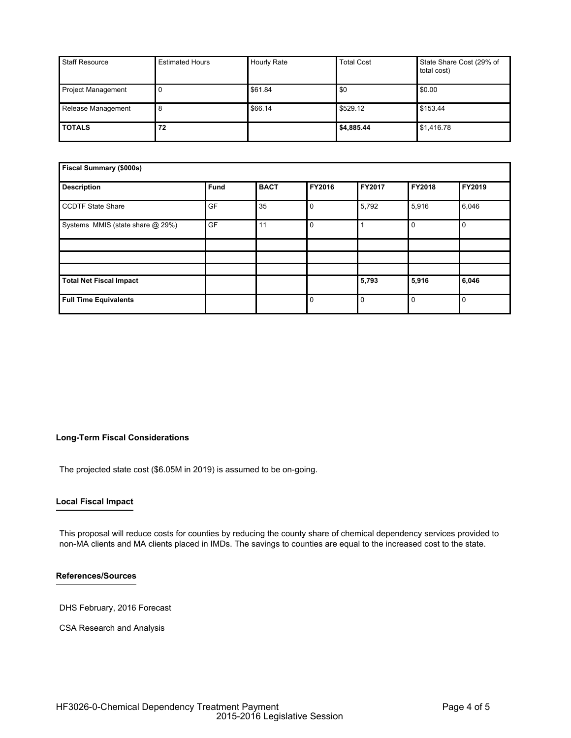| <b>Staff Resource</b>     | <b>Estimated Hours</b> | <b>Hourly Rate</b> | <b>Total Cost</b> | State Share Cost (29% of<br>total cost) |
|---------------------------|------------------------|--------------------|-------------------|-----------------------------------------|
| <b>Project Management</b> |                        | \$61.84            | \$0               | \$0.00                                  |
| Release Management        |                        | \$66.14            | \$529.12          | \$153.44                                |
| <b>TOTALS</b>             | 72                     |                    | \$4,885.44        | \$1,416.78                              |

| Fiscal Summary (\$000s)          |             |             |          |          |             |          |
|----------------------------------|-------------|-------------|----------|----------|-------------|----------|
| <b>Description</b>               | <b>Fund</b> | <b>BACT</b> | FY2016   | FY2017   | FY2018      | FY2019   |
| <b>CCDTF State Share</b>         | GF          | 35          | $\Omega$ | 5,792    | 5,916       | 6,046    |
| Systems MMIS (state share @ 29%) | GF          | 11          | $\Omega$ |          | $\mathbf 0$ | 0        |
|                                  |             |             |          |          |             |          |
|                                  |             |             |          |          |             |          |
|                                  |             |             |          |          |             |          |
| <b>Total Net Fiscal Impact</b>   |             |             |          | 5,793    | 5,916       | 6,046    |
| <b>Full Time Equivalents</b>     |             |             | $\Omega$ | $\Omega$ | $\mathbf 0$ | $\Omega$ |

# **Long-Term Fiscal Considerations**

The projected state cost (\$6.05M in 2019) is assumed to be on-going.

### **Local Fiscal Impact**

This proposal will reduce costs for counties by reducing the county share of chemical dependency services provided to non-MA clients and MA clients placed in IMDs. The savings to counties are equal to the increased cost to the state.

# **References/Sources**

DHS February, 2016 Forecast

CSA Research and Analysis